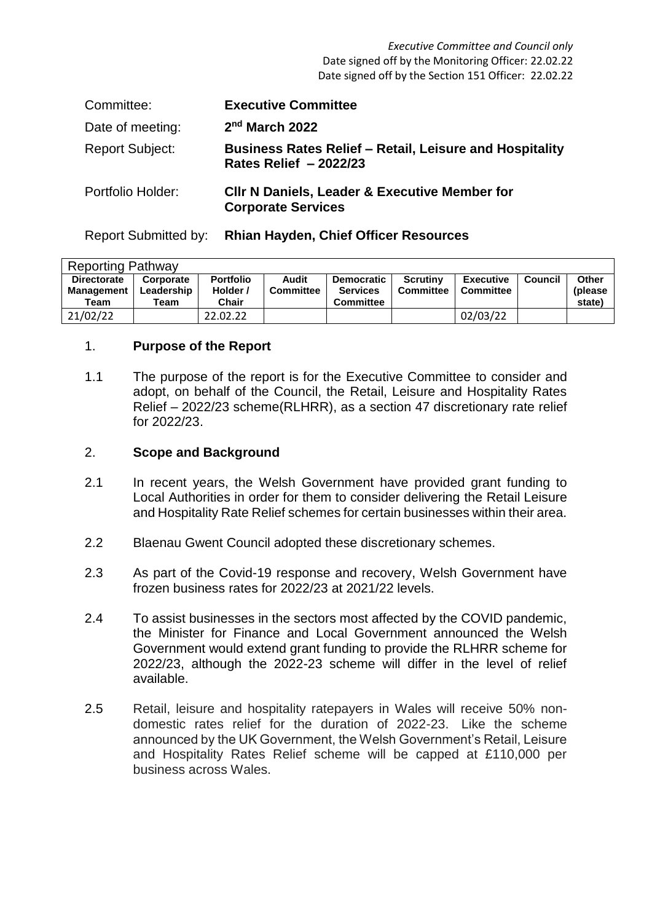*Executive Committee and Council only* Date signed off by the Monitoring Officer: 22.02.22 Date signed off by the Section 151 Officer: 22.02.22

| Committee:             | <b>Executive Committee</b>                                                               |
|------------------------|------------------------------------------------------------------------------------------|
| Date of meeting:       | $2nd$ March 2022                                                                         |
| <b>Report Subject:</b> | <b>Business Rates Relief - Retail, Leisure and Hospitality</b><br>Rates Relief - 2022/23 |
| Portfolio Holder:      | <b>CIIr N Daniels, Leader &amp; Executive Member for</b><br><b>Corporate Services</b>    |

Report Submitted by: **Rhian Hayden, Chief Officer Resources**

| <b>Reporting Pathway</b> |            |                  |                  |                   |           |                  |         |         |  |
|--------------------------|------------|------------------|------------------|-------------------|-----------|------------------|---------|---------|--|
| <b>Directorate</b>       | Corporate  | <b>Portfolio</b> | Audit            | <b>Democratic</b> | Scrutiny  | <b>Executive</b> | Council | Other   |  |
| <b>Management</b>        | Leadership | Holder /         | <b>Committee</b> | <b>Services</b>   | Committee | <b>Committee</b> |         | (please |  |
| Team                     | Team       | Chair            |                  | <b>Committee</b>  |           |                  |         | state)  |  |
| 21/02/22                 |            | 22.02.22         |                  |                   |           | 02/03/22         |         |         |  |

## 1. **Purpose of the Report**

1.1 The purpose of the report is for the Executive Committee to consider and adopt, on behalf of the Council, the Retail, Leisure and Hospitality Rates Relief – 2022/23 scheme(RLHRR), as a section 47 discretionary rate relief for 2022/23.

# 2. **Scope and Background**

- 2.1 In recent years, the Welsh Government have provided grant funding to Local Authorities in order for them to consider delivering the Retail Leisure and Hospitality Rate Relief schemes for certain businesses within their area.
- 2.2 Blaenau Gwent Council adopted these discretionary schemes.
- 2.3 As part of the Covid-19 response and recovery, Welsh Government have frozen business rates for 2022/23 at 2021/22 levels.
- 2.4 To assist businesses in the sectors most affected by the COVID pandemic, the Minister for Finance and Local Government announced the Welsh Government would extend grant funding to provide the RLHRR scheme for 2022/23, although the 2022-23 scheme will differ in the level of relief available.
- 2.5 Retail, leisure and hospitality ratepayers in Wales will receive 50% nondomestic rates relief for the duration of 2022-23. Like the scheme announced by the UK Government, the Welsh Government's Retail, Leisure and Hospitality Rates Relief scheme will be capped at £110,000 per business across Wales.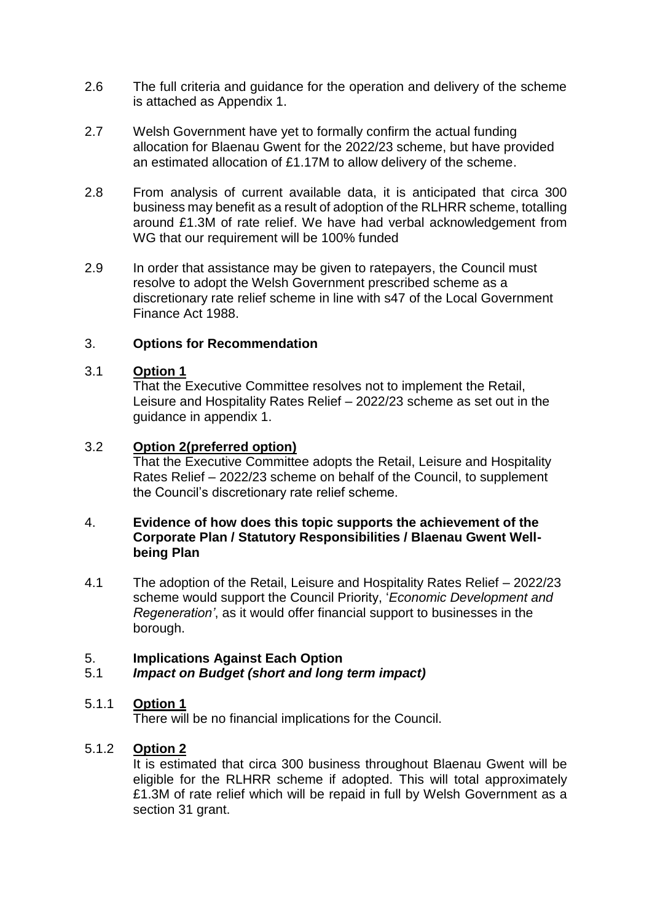- 2.6 The full criteria and guidance for the operation and delivery of the scheme is attached as Appendix 1.
- 2.7 Welsh Government have yet to formally confirm the actual funding allocation for Blaenau Gwent for the 2022/23 scheme, but have provided an estimated allocation of £1.17M to allow delivery of the scheme.
- 2.8 From analysis of current available data, it is anticipated that circa 300 business may benefit as a result of adoption of the RLHRR scheme, totalling around £1.3M of rate relief. We have had verbal acknowledgement from WG that our requirement will be 100% funded
- 2.9 In order that assistance may be given to ratepayers, the Council must resolve to adopt the Welsh Government prescribed scheme as a discretionary rate relief scheme in line with s47 of the Local Government Finance Act 1988.

# 3. **Options for Recommendation**

#### 3.1 **Option 1**

That the Executive Committee resolves not to implement the Retail, Leisure and Hospitality Rates Relief – 2022/23 scheme as set out in the guidance in appendix 1.

#### 3.2 **Option 2(preferred option)**

That the Executive Committee adopts the Retail, Leisure and Hospitality Rates Relief – 2022/23 scheme on behalf of the Council, to supplement the Council's discretionary rate relief scheme.

# 4. **Evidence of how does this topic supports the achievement of the Corporate Plan / Statutory Responsibilities / Blaenau Gwent Wellbeing Plan**

4.1 The adoption of the Retail, Leisure and Hospitality Rates Relief – 2022/23 scheme would support the Council Priority, '*Economic Development and Regeneration'*, as it would offer financial support to businesses in the borough.

# 5. **Implications Against Each Option**

### 5.1 *Impact on Budget (short and long term impact)*

### 5.1.1 **Option 1**

There will be no financial implications for the Council.

### 5.1.2 **Option 2**

It is estimated that circa 300 business throughout Blaenau Gwent will be eligible for the RLHRR scheme if adopted. This will total approximately £1.3M of rate relief which will be repaid in full by Welsh Government as a section 31 grant.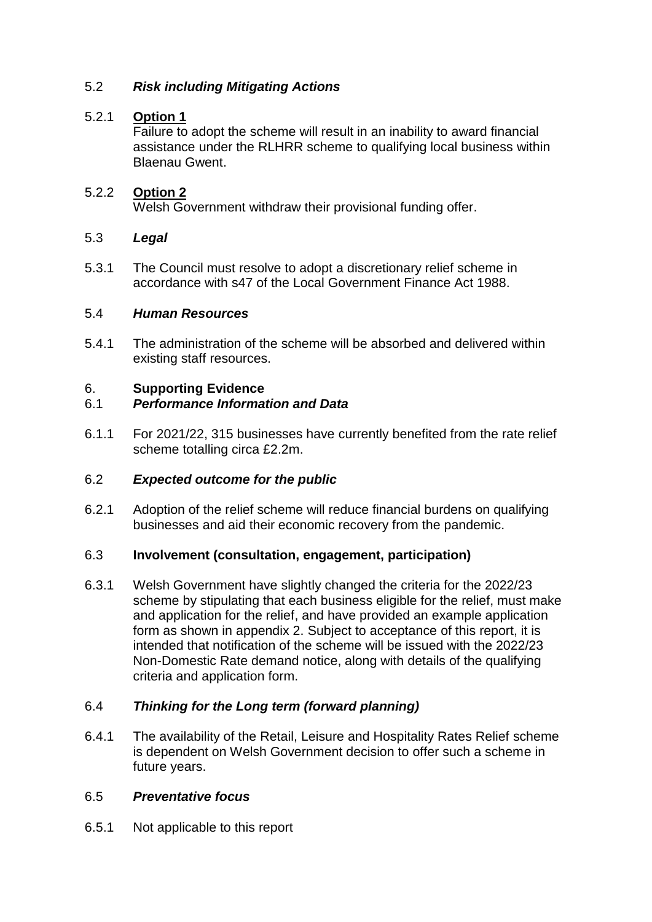## 5.2 *Risk including Mitigating Actions*

### 5.2.1 **Option 1**

Failure to adopt the scheme will result in an inability to award financial assistance under the RLHRR scheme to qualifying local business within Blaenau Gwent.

## 5.2.2 **Option 2**

Welsh Government withdraw their provisional funding offer.

### 5.3 *Legal*

5.3.1 The Council must resolve to adopt a discretionary relief scheme in accordance with s47 of the Local Government Finance Act 1988.

### 5.4 *Human Resources*

5.4.1 The administration of the scheme will be absorbed and delivered within existing staff resources.

# 6. **Supporting Evidence**

### 6.1 *Performance Information and Data*

6.1.1 For 2021/22, 315 businesses have currently benefited from the rate relief scheme totalling circa £2.2m.

### 6.2 *Expected outcome for the public*

6.2.1 Adoption of the relief scheme will reduce financial burdens on qualifying businesses and aid their economic recovery from the pandemic.

### 6.3 **Involvement (consultation, engagement, participation)**

6.3.1 Welsh Government have slightly changed the criteria for the 2022/23 scheme by stipulating that each business eligible for the relief, must make and application for the relief, and have provided an example application form as shown in appendix 2. Subject to acceptance of this report, it is intended that notification of the scheme will be issued with the 2022/23 Non-Domestic Rate demand notice, along with details of the qualifying criteria and application form.

## 6.4 *Thinking for the Long term (forward planning)*

6.4.1 The availability of the Retail, Leisure and Hospitality Rates Relief scheme is dependent on Welsh Government decision to offer such a scheme in future years.

### 6.5 *Preventative focus*

6.5.1 Not applicable to this report